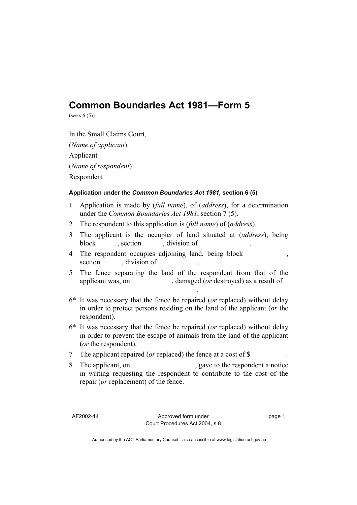## **Common Boundaries Act 1981—Form 5**

(see s  $6(5)$ )

In the Small Claims Court, (*Name of applicant*) Applicant (*Name of respondent*) Respondent

## **Application under** t**he** *Common Boundaries Act 1981,* **section 6 (5)**

- 1 Application is made by (*full name*), of (*address*), for a determination under the *Common Boundaries Act 1981*, section 7 (5)*.*
- 2 The respondent to this application is (*full name*) of (*address*).
- 3 The applicant is the occupier of land situated at (*address*), being block , section , division of
- 4 The respondent occupies adjoining land, being block , section , division of

**.** The contract of the contract of the contract of the contract of the contract of the contract of the contract of

- 5 The fence separating the land of the respondent from that of the applicant was, on , damaged (*or* destroyed) as a result of
- 6\* It was necessary that the fence be repaired (*or* replaced) without delay in order to protect persons residing on the land of the applicant (*or* the respondent).
- 6\* It was necessary that the fence be repaired (*or* replaced) without delay in order to prevent the escape of animals from the land of the applicant (*or* the respondent).
- 7 The applicant repaired (*or* replaced) the fence at a cost of \$ .
- 8 The applicant, on , gave to the respondent a notice in writing requesting the respondent to contribute to the cost of the repair (*or* replacement) of the fence.

page 1

Authorised by the ACT Parliamentary Counsel—also accessible at www.legislation.act.gov.au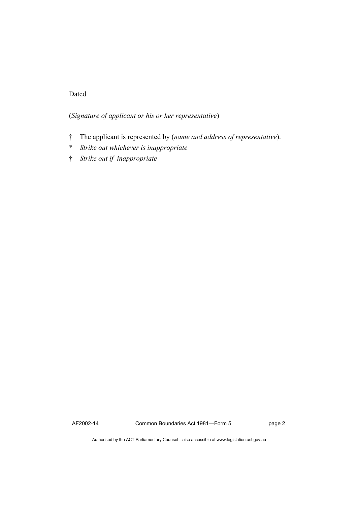## Dated

(*Signature of applicant or his or her representative*)

- † The applicant is represented by (*name and address of representative*).
- \* *Strike out whichever is inappropriate*
- † *Strike out if inappropriate*

AF2002-14 Common Boundaries Act 1981—Form 5 page 2

Authorised by the ACT Parliamentary Counsel—also accessible at www.legislation.act.gov.au